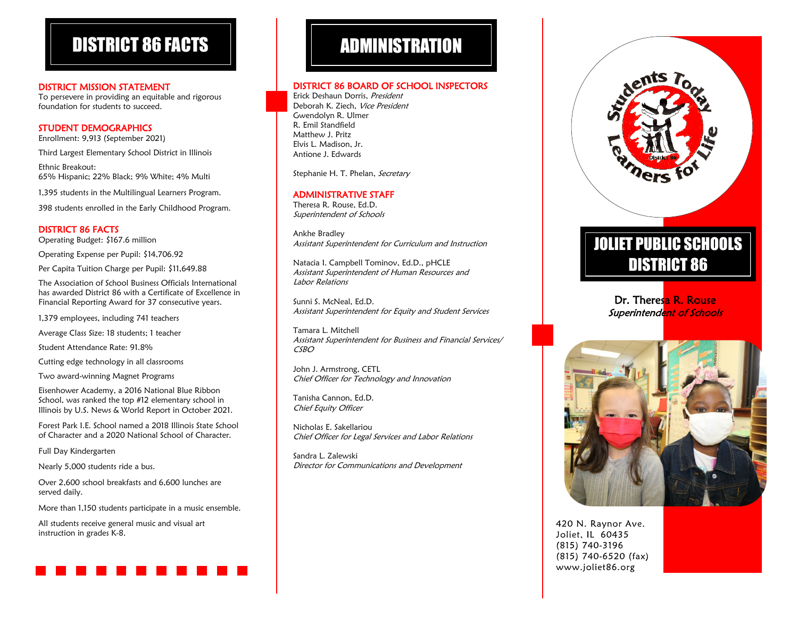# DISTRICT 86 FACTS

### DISTRICT MISSION STATEMENT

To persevere in providing an equitable and rigorous foundation for students to succeed.

### STUDENT DEMOGRAPHICS

Enrollment: 9,913 (September 2021)

Third Largest Elementary School District in Illinois

Ethnic Breakout: 65% Hispanic; 22% Black; 9% White; 4% Multi

1,395 students in the Multilingual Learners Program.

398 students enrolled in the Early Childhood Program.

### DISTRICT 86 FACTS

Operating Budget: \$167.6 million

Operating Expense per Pupil: \$14,706.92

Per Capita Tuition Charge per Pupil: \$11,649.88

The Association of School Business Officials International has awarded District 86 with a Certificate of Excellence in Financial Reporting Award for 37 consecutive years.

1,379 employees, including 741 teachers

Average Class Size: 18 students; 1 teacher

Student Attendance Rate: 91.8%

Cutting edge technology in all classrooms

Two award-winning Magnet Programs

Eisenhower Academy, a 2016 National Blue Ribbon School, was ranked the top #12 elementary school in Illinois by U.S. News & World Report in October 2021.

Forest Park I.E. School named a 2018 Illinois State School of Character and a 2020 National School of Character.

Full Day Kindergarten

Nearly 5,000 students ride a bus.

Over 2,600 school breakfasts and 6,600 lunches are served daily.

More than 1,150 students participate in a music ensemble.

All students receive general music and visual art instruction in grades K-8.



# ADMINISTRATION

### DISTRICT 86 BOARD OF SCHOOL INSPECTORS

Erick Deshaun Dorris, President Deborah K. Ziech, Vice President Gwendolyn R. Ulmer R. Emil Standfield Matthew J. Pritz Elvis L. Madison, Jr. Antione J. Edwards

Stephanie H. T. Phelan, Secretary

### ADMINISTRATIVE STAFF

Theresa R. Rouse, Ed.D. Superintendent of Schools

Ankhe Bradley Assistant Superintendent for Curriculum and Instruction

Natacia I. Campbell Tominov, Ed.D., pHCLE Assistant Superintendent of Human Resources and Labor Relations

Sunni S. McNeal, Ed.D. Assistant Superintendent for Equity and Student Services

Tamara L. Mitchell Assistant Superintendent for Business and Financial Services/ CSBO

John J. Armstrong, CETL Chief Officer for Technology and Innovation

Tanisha Cannon, Ed.D. Chief Equity Officer

Nicholas E. Sakellariou Chief Officer for Legal Services and Labor Relations

Sandra L. Zalewski Director for Communications and Development



## JOLIET PUBLIC SCHOOLS DISTRICT 86

### Dr. Theresa R. Rouse Superintendent of Schools



420 N. Raynor Ave. Joliet, IL 60435 (815) 740-3196  $(815)$  740-6520 (fax) www.joliet86.org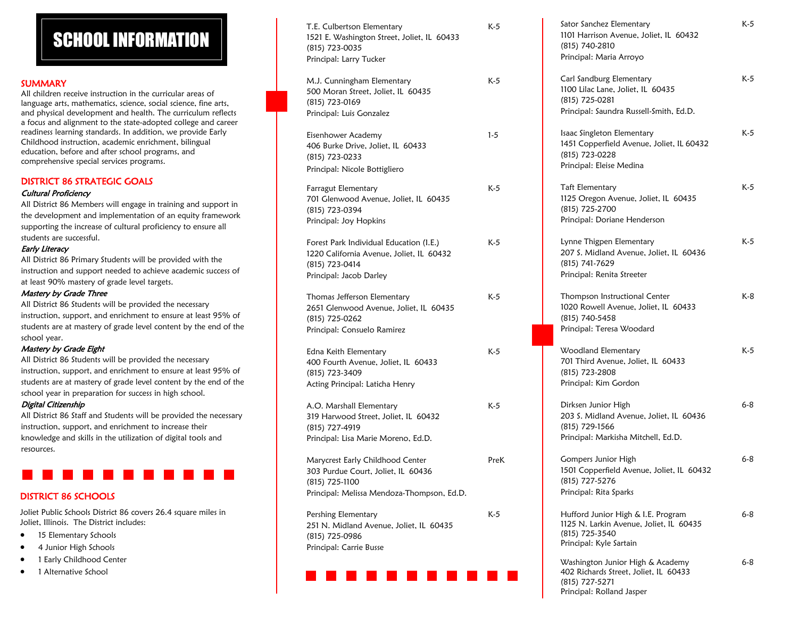# SCHOOL INFORMATION

### SUMMARY

All children receive instruction in the curricular areas of language arts, mathematics, science, social science, fine arts, and physical development and health. The curriculum reflects a focus and alignment to the state -adopted college and career readiness learning standards. In addition, we provide Early Childhood instruction, academic enrichment, bilingual education, before and after school programs, and comprehensive special services programs.

### DISTRICT 86 STRATEGIC GOALS

### Cultural Proficiency

All District 86 Members will engage in training and support in the development and implementation of an equity framework supporting the increase of cultural proficiency to ensure all students are successful.

### Early Literacy

All District 86 Primary Students will be provided with the instruction and support needed to achieve academic success of at least 90% mastery of grade level targets.

### Mastery by Grade Three

All District 86 Students will be provided the necessary instruction, support, and enrichment to ensure at least 95% of students are at mastery of grade level content by the end of the school year.

### Mastery by Grade Eight

All District 86 Students will be provided the necessary instruction, support, and enrichment to ensure at least 95% of students are at mastery of grade level content by the end of the school year in preparation for success in high school.

### Digital Citizenship

All District 86 Staff and Students will be provided the necessary instruction, support, and enrichment to increase their knowledge and skills in the utilization of digital tools and resources.

### DISTRICT 86 SCHOOLS

Joliet Public Schools District 86 covers 26.4 square miles in Joliet, Illinois. The District includes:

- 15 Elementary Schools
- 4 Junior High Schools
- 1 Early Childhood Center
- 1 Alternative School

| T.E. Culbertson Elementary<br>1521 E. Washington Street, Joliet, IL 60433<br>(815) 723-0035                                            | K-5   |
|----------------------------------------------------------------------------------------------------------------------------------------|-------|
| Principal: Larry Tucker                                                                                                                |       |
| M.J. Cunningham Elementary<br>500 Moran Street, Joliet, IL 60435<br>(815) 723-0169<br>Principal: Luis Gonzalez                         | $K-5$ |
| Eisenhower Academy<br>406 Burke Drive, Joliet, IL 60433<br>(815) 723-0233                                                              | $1-5$ |
| Principal: Nicole Bottigliero                                                                                                          |       |
| Farragut Elementary<br>701 Glenwood Avenue, Joliet, IL 60435<br>(815) 723-0394<br>Principal: Joy Hopkins                               | K-5   |
| Forest Park Individual Education (I.E.)<br>1220 California Avenue, Joliet, IL 60432<br>(815) 723-0414<br>Principal: Jacob Darley       | K-5   |
| Thomas Jefferson Elementary<br>2651 Glenwood Avenue, Joliet, IL 60435<br>(815) 725-0262<br>Principal: Consuelo Ramirez                 | K-5   |
| Edna Keith Elementary<br>400 Fourth Avenue, Joliet, IL 60433<br>(815) 723-3409<br>Acting Principal: Laticha Henry                      | K-5   |
| A.O. Marshall Elementary<br>319 Harwood Street, Joliet, IL 60432<br>(815) 727-4919<br>Principal: Lisa Marie Moreno, Ed.D.              | K-5   |
| Marycrest Early Childhood Center<br>303 Purdue Court, Joliet, IL 60436<br>(815) 725-1100<br>Principal: Melissa Mendoza-Thompson, Ed.D. | PreK  |
| Pershing Elementary<br>251 N. Midland Avenue, Joliet, IL 60435<br>(815) 725-0986<br>Principal: Carrie Busse                            | K-5   |
|                                                                                                                                        |       |

| Sator Sanchez Elementary<br>1101 Harrison Avenue, Joliet, IL 60432<br>(815) 740-2810<br>Principal: Maria Arroyo                                     | K-5     |
|-----------------------------------------------------------------------------------------------------------------------------------------------------|---------|
| Carl Sandburg Elementary<br>1100 Lilac Lane, Joliet, IL 60435<br>(815) 725-0281<br>Principal: Saundra Russell-Smith, Ed.D.                          | K-5     |
| Isaac Singleton Elementary<br>1451 Copperfield Avenue, Joliet, IL 60432<br>(815) 723-0228<br>Principal: Eleise Medina                               | K-5     |
| <b>Taft Elementary</b><br>1125 Oregon Avenue, Joliet, IL 60435<br>(815) 725-2700                                                                    | K-5     |
| Principal: Doriane Henderson<br>Lynne Thigpen Elementary<br>207 S. Midland Avenue, Joliet, IL 60436<br>(815) 741-7629<br>Principal: Renita Streeter | K-5     |
| Thompson Instructional Center<br>1020 Rowell Avenue, Joliet, IL 60433<br>(815) 740-5458<br>Principal: Teresa Woodard                                | K-8     |
| Woodland Elementary<br>701 Third Avenue, Joliet, IL 60433<br>(815) 723-2808<br>Principal: Kim Gordon                                                | K-5     |
| Dirksen Junior High<br>203 S. Midland Avenue, Joliet, IL 60436<br>(815) 729-1566                                                                    | 6-8     |
| Principal: Markisha Mitchell, Ed.D.<br>Gompers Junior High<br>1501 Copperfield Avenue, Joliet, IL 60432<br>(815) 727-5276<br>Principal: Rita Sparks | $6 - 8$ |
| Hufford Junior High & I.E. Program<br>1125 N. Larkin Avenue, Joliet, IL 60435<br>(815) 725-3540<br>Principal: Kyle Sartain                          | 6-8     |
| Washington Junior High & Academy<br>402 Richards Street, Joliet, IL 60433<br>(815) 727-5271<br>Principal: Rolland Jasper                            | 6-8     |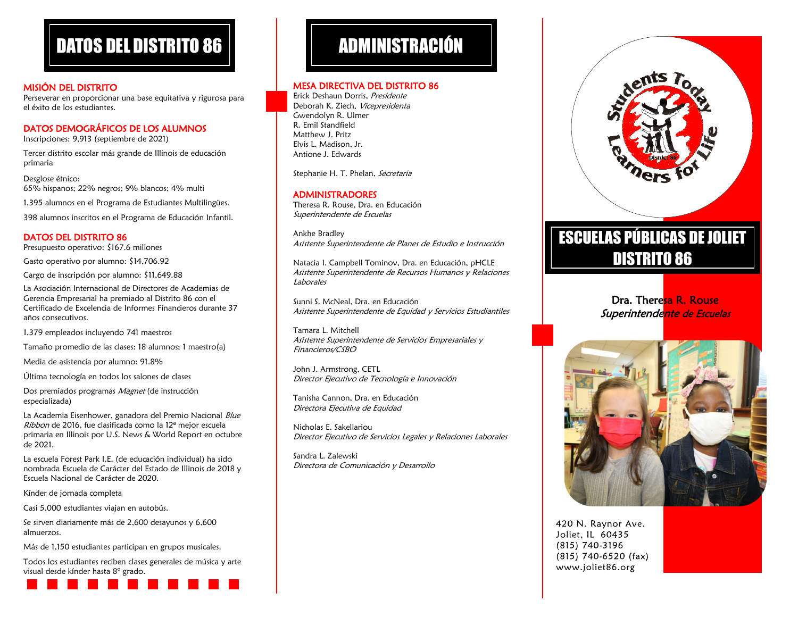# DATOS DEL DISTRITO 86

### MISIÓN DEL DISTRITO

Perseverar en proporcionar una base equitativa y rigurosa para el éxito de los estudiantes.

### DATOS DEMOGRÁFICOS DE LOS ALUMNOS

Inscripciones: 9,913 (septiembre de 2021)

Tercer distrito escolar más grande de Illinois de educación primaria

Desglose étnico: 65% hispanos; 22% negros; 9% blancos; 4% multi

1,395 alumnos en el Programa de Estudiantes Multilingües.

398 alumnos inscritos en el Programa de Educación Infantil.

### DATOS DEL DISTRITO 86

Presupuesto operativo: \$167.6 millones

Gasto operativo por alumno: \$14,706.92

Cargo de inscripción por alumno: \$11,649.88

La Asociación Internacional de Directores de Academias de Gerencia Empresarial ha premiado al Distrito 86 con el Certificado de Excelencia de Informes Financieros durante 37 años consecutivos.

1,379 empleados incluyendo 741 maestros

Tamaño promedio de las clases: 18 alumnos; 1 maestro(a)

Media de asistencia por alumno: 91.8%

Última tecnología en todos los salones de clases

Dos premiados programas Magnet (de instrucción especializada)

La Academia Eisenhower, ganadora del Premio Nacional Blue Ribbon de 2016, fue clasificada como la 12ª mejor escuela primaria en Illinois por U.S. News & World Report en octubre de 2021.

La escuela Forest Park I.E. (de educación individual) ha sido nombrada Escuela de Carácter del Estado de Illinois de 2018 y Escuela Nacional de Carácter de 2020.

Kínder de jornada completa

Casi 5,000 estudiantes viajan en autobús.

Se sirven diariamente más de 2,600 desayunos y 6,600 almuerzos.

Más de 1,150 estudiantes participan en grupos musicales.

Todos los estudiantes reciben clases generales de música y arte visual desde kínder hasta 8º grado.



# ADMINISTRACIÓN

### MESA DIRECTIVA DEL DISTRITO 86

Erick Deshaun Dorris, Presidente Deborah K. Ziech, Vicepresidenta Gwendolyn R. Ulmer R. Emil Standfield Matthew J. Pritz Elvis L. Madison, Jr. Antione J. Edwards

Stephanie H. T. Phelan, Secretaria

### ADMINISTRADORES

Theresa R. Rouse, Dra. en Educación Superintendente de Escuelas

Ankhe Bradley Asistente Superintendente de Planes de Estudio e Instrucción

Natacia I. Campbell Tominov, Dra. en Educación, pHCLE Asistente Superintendente de Recursos Humanos y Relaciones Laborales

Sunni S. McNeal, Dra. en Educación Asistente Superintendente de Equidad y Servicios Estudiantiles

Tamara L. Mitchell Asistente Superintendente de Servicios Empresariales y Financieros/CSBO

John J. Armstrong, CETL Director Ejecutivo de Tecnología e Innovación

Tanisha Cannon, Dra. en Educación Directora Ejecutiva de Equidad

Nicholas E. Sakellariou Director Ejecutivo de Servicios Legales y Relaciones Laborales

Sandra L. Zalewski Directora de Comunicación y Desarrollo



# ESCUELAS PÚBLICAS DE JOLIET DISTRITO 86

### Dra. Theresa R. Rouse Superintendente de Escuelas



420 N. Raynor Ave. Joliet, IL 60435 (815) 740-3196  $(815)$  740-6520 (fax) www.joliet86.org